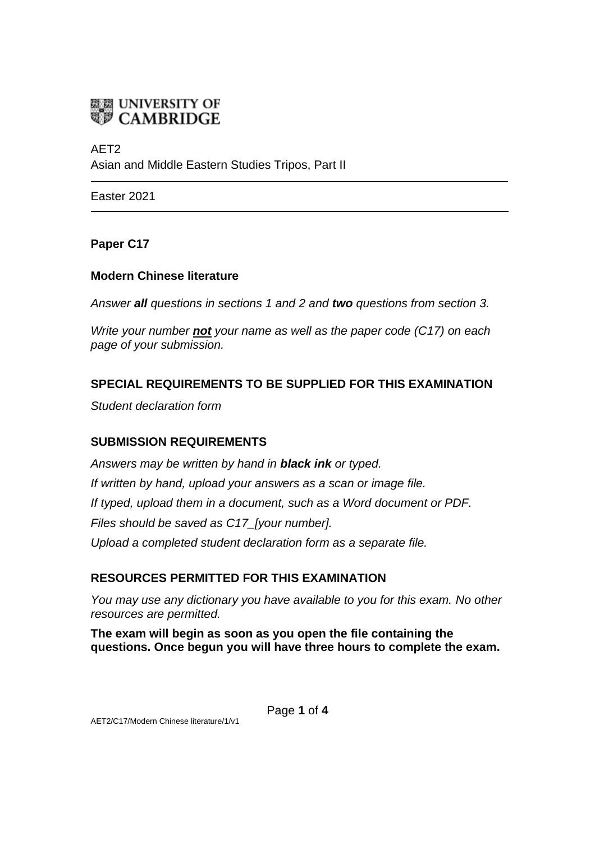

AET2 Asian and Middle Eastern Studies Tripos, Part II

Easter 2021

### **Paper C17**

### **Modern Chinese literature**

*Answer all questions in sections 1 and 2 and two questions from section 3.*

*Write your number not your name as well as the paper code (C17) on each page of your submission.*

# **SPECIAL REQUIREMENTS TO BE SUPPLIED FOR THIS EXAMINATION**

*Student declaration form*

## **SUBMISSION REQUIREMENTS**

*Answers may be written by hand in black ink or typed. If written by hand, upload your answers as a scan or image file. If typed, upload them in a document, such as a Word document or PDF. Files should be saved as C17\_[your number]. Upload a completed student declaration form as a separate file.*

## **RESOURCES PERMITTED FOR THIS EXAMINATION**

*You may use any dictionary you have available to you for this exam. No other resources are permitted.*

**The exam will begin as soon as you open the file containing the questions. Once begun you will have three hours to complete the exam.**

Page **1** of **4**

AET2/C17/Modern Chinese literature/1/v1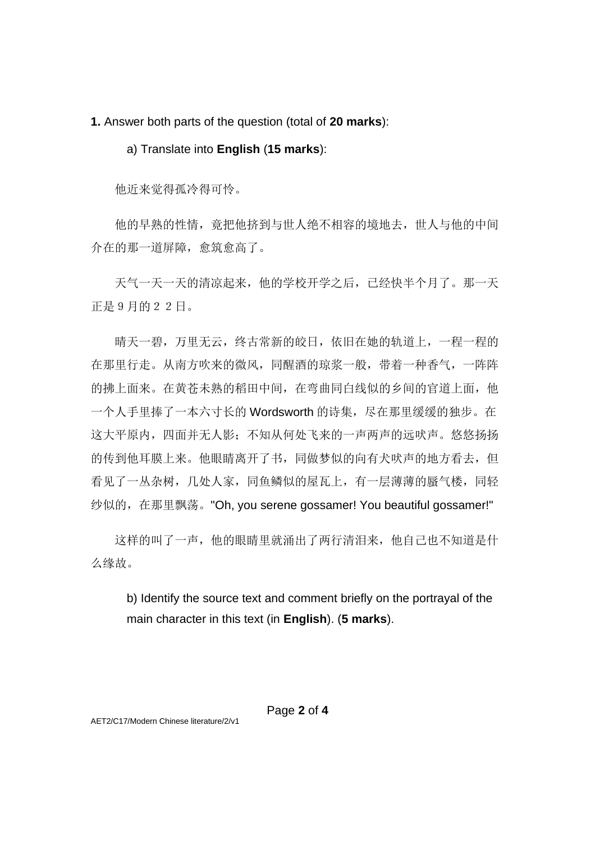**1.** Answer both parts of the question (total of **20 marks**):

#### a) Translate into **English** (**15 marks**):

他近来觉得孤冷得可怜。

 他的早熟的性情,竟把他挤到与世人绝不相容的境地去,世人与他的中间 介在的那一道屏障,愈筑愈高了。

 天气一天一天的清凉起来,他的学校开学之后,已经快半个月了。那一天 正是9月的22日。

 晴天一碧,万里无云,终古常新的皎日,依旧在她的轨道上,一程一程的 在那里行走。从南方吹来的微风,同醒酒的琼浆一般,带着一种香气,一阵阵 的拂上面来。在黄苍未熟的稻田中间,在弯曲同白线似的乡间的官道上面,他 一个人手里捧了一本六寸长的 Wordsworth 的诗集,尽在那里缓缓的独步。在 这大平原内, 四面并无人影;不知从何处飞来的一声两声的远吠声。悠悠扬扬 的传到他耳膜上来。他眼睛离开了书,同做梦似的向有犬吠声的地方看去,但 看见了一丛杂树,几处人家,同鱼鳞似的屋瓦上,有一层薄薄的蜃气楼,同轻 纱似的,在那里飘荡。"Oh, you serene gossamer! You beautiful gossamer!"

 这样的叫了一声,他的眼睛里就涌出了两行清泪来,他自己也不知道是什 么缘故。

b) Identify the source text and comment briefly on the portrayal of the main character in this text (in **English**). (**5 marks**).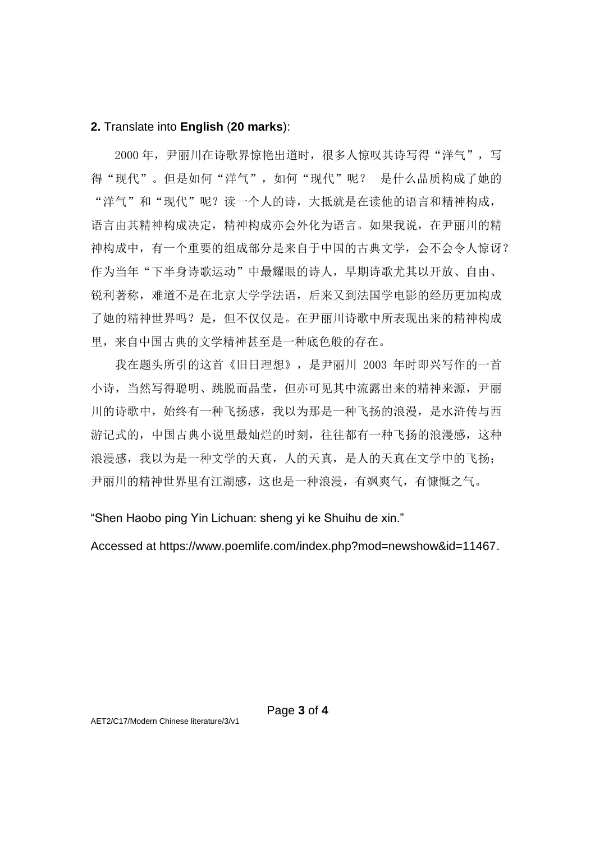#### **2.** Translate into **English** (**20 marks**):

2000 年, 尹丽川在诗歌界惊艳出道时, 很多人惊叹其诗写得"洋气", 写 得"现代"。但是如何"洋气",如何"现代"呢? 是什么品质构成了她的 "洋气"和"现代"呢?读一个人的诗,大抵就是在读他的语言和精神构成, 语言由其精神构成决定,精神构成亦会外化为语言。如果我说,在尹丽川的精 神构成中,有一个重要的组成部分是来自于中国的古典文学,会不会令人惊讶? 作为当年"下半身诗歌运动"中最耀眼的诗人,早期诗歌尤其以开放、自由、 锐利著称,难道不是在北京大学学法语,后来又到法国学电影的经历更加构成 了她的精神世界吗?是,但不仅仅是。在尹丽川诗歌中所表现出来的精神构成 里,来自中国古典的文学精神甚至是一种底色般的存在。

 我在题头所引的这首《旧日理想》,是尹丽川 2003 年时即兴写作的一首 小诗,当然写得聪明、跳脱而晶莹,但亦可见其中流露出来的精神来源,尹丽 川的诗歌中,始终有一种飞扬感,我以为那是一种飞扬的浪漫,是水浒传与西 游记式的,中国古典小说里最灿烂的时刻,往往都有一种飞扬的浪漫感,这种 浪漫感,我以为是一种文学的天真,人的天真,是人的天真在文学中的飞扬; 尹丽川的精神世界里有江湖感,这也是一种浪漫,有飒爽气,有慷慨之气。

"Shen Haobo ping Yin Lichuan: sheng yi ke Shuihu de xin."

Accessed at https://www.poemlife.com/index.php?mod=newshow&id=11467.